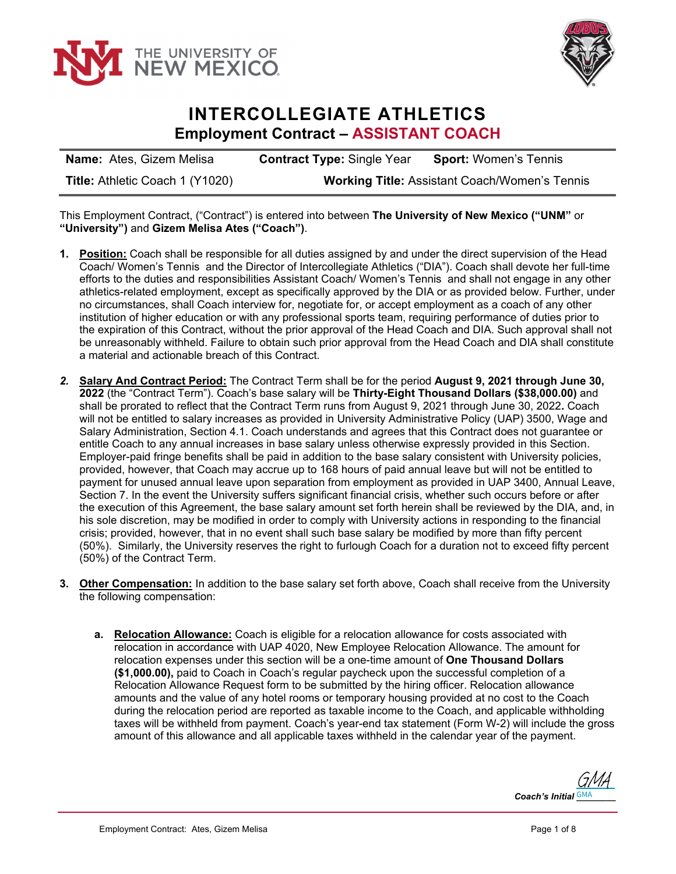



## **INTERCOLLEGIATE ATHLETICS Employment Contract – ASSISTANT COACH**

| <b>Name:</b> Ates, Gizem Melisa | <b>Contract Type: Single Year</b>                    | <b>Sport: Women's Tennis</b> |
|---------------------------------|------------------------------------------------------|------------------------------|
| Title: Athletic Coach 1 (Y1020) | <b>Working Title: Assistant Coach/Women's Tennis</b> |                              |

This Employment Contract, ("Contract") is entered into between **The University of New Mexico ("UNM"** or **"University")** and **Gizem Melisa Ates ("Coach")**.

- **1. Position:** Coach shall be responsible for all duties assigned by and under the direct supervision of the Head Coach/ Women's Tennis and the Director of Intercollegiate Athletics ("DIA"). Coach shall devote her full-time efforts to the duties and responsibilities Assistant Coach/ Women's Tennis and shall not engage in any other athletics-related employment, except as specifically approved by the DIA or as provided below. Further, under no circumstances, shall Coach interview for, negotiate for, or accept employment as a coach of any other institution of higher education or with any professional sports team, requiring performance of duties prior to the expiration of this Contract, without the prior approval of the Head Coach and DIA. Such approval shall not be unreasonably withheld. Failure to obtain such prior approval from the Head Coach and DIA shall constitute a material and actionable breach of this Contract.
- *2.* **Salary And Contract Period:** The Contract Term shall be for the period **August 9, 2021 through June 30, 2022** (the "Contract Term"). Coach's base salary will be **Thirty-Eight Thousand Dollars (\$38,000.00)** and shall be prorated to reflect that the Contract Term runs from August 9, 2021 through June 30, 2022**.** Coach will not be entitled to salary increases as provided in University Administrative Policy (UAP) 3500, Wage and Salary Administration, Section 4.1. Coach understands and agrees that this Contract does not guarantee or entitle Coach to any annual increases in base salary unless otherwise expressly provided in this Section. Employer-paid fringe benefits shall be paid in addition to the base salary consistent with University policies, provided, however, that Coach may accrue up to 168 hours of paid annual leave but will not be entitled to payment for unused annual leave upon separation from employment as provided in UAP 3400, Annual Leave, Section 7. In the event the University suffers significant financial crisis, whether such occurs before or after the execution of this Agreement, the base salary amount set forth herein shall be reviewed by the DIA, and, in his sole discretion, may be modified in order to comply with University actions in responding to the financial crisis; provided, however, that in no event shall such base salary be modified by more than fifty percent (50%). Similarly, the University reserves the right to furlough Coach for a duration not to exceed fifty percent (50%) of the Contract Term.
- **3. Other Compensation:** In addition to the base salary set forth above, Coach shall receive from the University the following compensation:
	- **a. Relocation Allowance:** Coach is eligible for a relocation allowance for costs associated with relocation in accordance with UAP 4020, New Employee Relocation Allowance. The amount for relocation expenses under this section will be a one-time amount of **One Thousand Dollars (\$1,000.00),** paid to Coach in Coach's regular paycheck upon the successful completion of a Relocation Allowance Request form to be submitted by the hiring officer. Relocation allowance amounts and the value of any hotel rooms or temporary housing provided at no cost to the Coach during the relocation period are reported as taxable income to the Coach, and applicable withholding taxes will be withheld from payment. Coach's year-end tax statement (Form W-2) will include the gross amount of this allowance and all applicable taxes withheld in the calendar year of the payment.

Coach's Initial **GMA** [GMA](https://secure.na2.echosign.com/verifier?tx=CBJCHBCAABAAudPFRS5iXnToYKQ3N9ku7fVdCMKk9i62)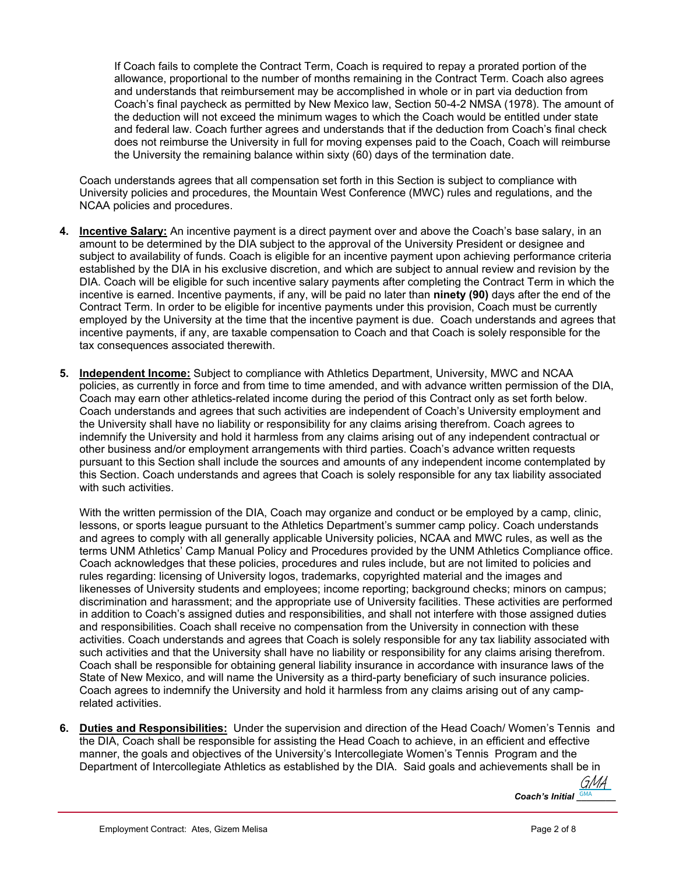If Coach fails to complete the Contract Term, Coach is required to repay a prorated portion of the allowance, proportional to the number of months remaining in the Contract Term. Coach also agrees and understands that reimbursement may be accomplished in whole or in part via deduction from Coach's final paycheck as permitted by New Mexico law, Section 50-4-2 NMSA (1978). The amount of the deduction will not exceed the minimum wages to which the Coach would be entitled under state and federal law. Coach further agrees and understands that if the deduction from Coach's final check does not reimburse the University in full for moving expenses paid to the Coach, Coach will reimburse the University the remaining balance within sixty (60) days of the termination date.

Coach understands agrees that all compensation set forth in this Section is subject to compliance with University policies and procedures, the Mountain West Conference (MWC) rules and regulations, and the NCAA policies and procedures.

- **4. Incentive Salary:** An incentive payment is a direct payment over and above the Coach's base salary, in an amount to be determined by the DIA subject to the approval of the University President or designee and subject to availability of funds. Coach is eligible for an incentive payment upon achieving performance criteria established by the DIA in his exclusive discretion, and which are subject to annual review and revision by the DIA. Coach will be eligible for such incentive salary payments after completing the Contract Term in which the incentive is earned. Incentive payments, if any, will be paid no later than **ninety (90)** days after the end of the Contract Term. In order to be eligible for incentive payments under this provision, Coach must be currently employed by the University at the time that the incentive payment is due. Coach understands and agrees that incentive payments, if any, are taxable compensation to Coach and that Coach is solely responsible for the tax consequences associated therewith.
- **5. Independent Income:** Subject to compliance with Athletics Department, University, MWC and NCAA policies, as currently in force and from time to time amended, and with advance written permission of the DIA, Coach may earn other athletics-related income during the period of this Contract only as set forth below. Coach understands and agrees that such activities are independent of Coach's University employment and the University shall have no liability or responsibility for any claims arising therefrom. Coach agrees to indemnify the University and hold it harmless from any claims arising out of any independent contractual or other business and/or employment arrangements with third parties. Coach's advance written requests pursuant to this Section shall include the sources and amounts of any independent income contemplated by this Section. Coach understands and agrees that Coach is solely responsible for any tax liability associated with such activities.

With the written permission of the DIA, Coach may organize and conduct or be employed by a camp, clinic, lessons, or sports league pursuant to the Athletics Department's summer camp policy. Coach understands and agrees to comply with all generally applicable University policies, NCAA and MWC rules, as well as the terms UNM Athletics' Camp Manual Policy and Procedures provided by the UNM Athletics Compliance office. Coach acknowledges that these policies, procedures and rules include, but are not limited to policies and rules regarding: licensing of University logos, trademarks, copyrighted material and the images and likenesses of University students and employees; income reporting; background checks; minors on campus; discrimination and harassment; and the appropriate use of University facilities. These activities are performed in addition to Coach's assigned duties and responsibilities, and shall not interfere with those assigned duties and responsibilities. Coach shall receive no compensation from the University in connection with these activities. Coach understands and agrees that Coach is solely responsible for any tax liability associated with such activities and that the University shall have no liability or responsibility for any claims arising therefrom. Coach shall be responsible for obtaining general liability insurance in accordance with insurance laws of the State of New Mexico, and will name the University as a third-party beneficiary of such insurance policies. Coach agrees to indemnify the University and hold it harmless from any claims arising out of any camprelated activities.

**6. Duties and Responsibilities:** Under the supervision and direction of the Head Coach/ Women's Tennis and the DIA, Coach shall be responsible for assisting the Head Coach to achieve, in an efficient and effective manner, the goals and objectives of the University's Intercollegiate Women's Tennis Program and the Department of Intercollegiate Athletics as established by the DIA. Said goals and achievements shall be in

> Coach's Initial **GMA** [GMA](https://secure.na2.echosign.com/verifier?tx=CBJCHBCAABAAudPFRS5iXnToYKQ3N9ku7fVdCMKk9i62)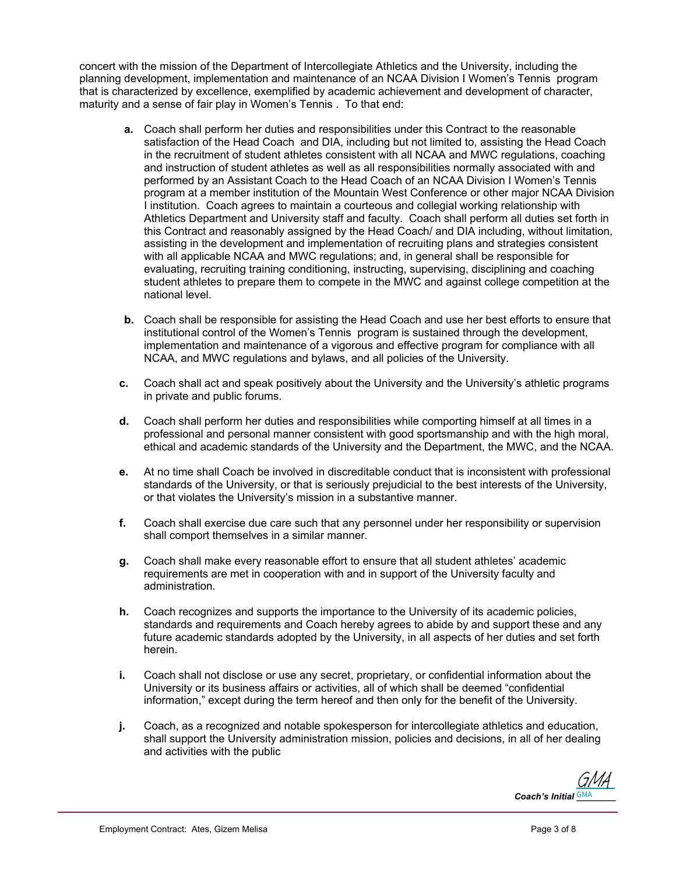concert with the mission of the Department of Intercollegiate Athletics and the University, including the planning development, implementation and maintenance of an NCAA Division I Women's Tennis program that is characterized by excellence, exemplified by academic achievement and development of character, maturity and a sense of fair play in Women's Tennis . To that end:

- **a.** Coach shall perform her duties and responsibilities under this Contract to the reasonable satisfaction of the Head Coach and DIA, including but not limited to, assisting the Head Coach in the recruitment of student athletes consistent with all NCAA and MWC regulations, coaching and instruction of student athletes as well as all responsibilities normally associated with and performed by an Assistant Coach to the Head Coach of an NCAA Division I Women's Tennis program at a member institution of the Mountain West Conference or other major NCAA Division I institution. Coach agrees to maintain a courteous and collegial working relationship with Athletics Department and University staff and faculty. Coach shall perform all duties set forth in this Contract and reasonably assigned by the Head Coach/ and DIA including, without limitation, assisting in the development and implementation of recruiting plans and strategies consistent with all applicable NCAA and MWC regulations; and, in general shall be responsible for evaluating, recruiting training conditioning, instructing, supervising, disciplining and coaching student athletes to prepare them to compete in the MWC and against college competition at the national level.
- **b.** Coach shall be responsible for assisting the Head Coach and use her best efforts to ensure that institutional control of the Women's Tennis program is sustained through the development, implementation and maintenance of a vigorous and effective program for compliance with all NCAA, and MWC regulations and bylaws, and all policies of the University.
- **c.** Coach shall act and speak positively about the University and the University's athletic programs in private and public forums.
- **d.** Coach shall perform her duties and responsibilities while comporting himself at all times in a professional and personal manner consistent with good sportsmanship and with the high moral, ethical and academic standards of the University and the Department, the MWC, and the NCAA.
- **e.** At no time shall Coach be involved in discreditable conduct that is inconsistent with professional standards of the University, or that is seriously prejudicial to the best interests of the University, or that violates the University's mission in a substantive manner.
- **f.** Coach shall exercise due care such that any personnel under her responsibility or supervision shall comport themselves in a similar manner.
- **g.** Coach shall make every reasonable effort to ensure that all student athletes' academic requirements are met in cooperation with and in support of the University faculty and administration.
- **h.** Coach recognizes and supports the importance to the University of its academic policies, standards and requirements and Coach hereby agrees to abide by and support these and any future academic standards adopted by the University, in all aspects of her duties and set forth herein.
- **i.** Coach shall not disclose or use any secret, proprietary, or confidential information about the University or its business affairs or activities, all of which shall be deemed "confidential information," except during the term hereof and then only for the benefit of the University.
- **j.** Coach, as a recognized and notable spokesperson for intercollegiate athletics and education, shall support the University administration mission, policies and decisions, in all of her dealing and activities with the public

Coach's Initial **GMA** [GMA](https://secure.na2.echosign.com/verifier?tx=CBJCHBCAABAAudPFRS5iXnToYKQ3N9ku7fVdCMKk9i62)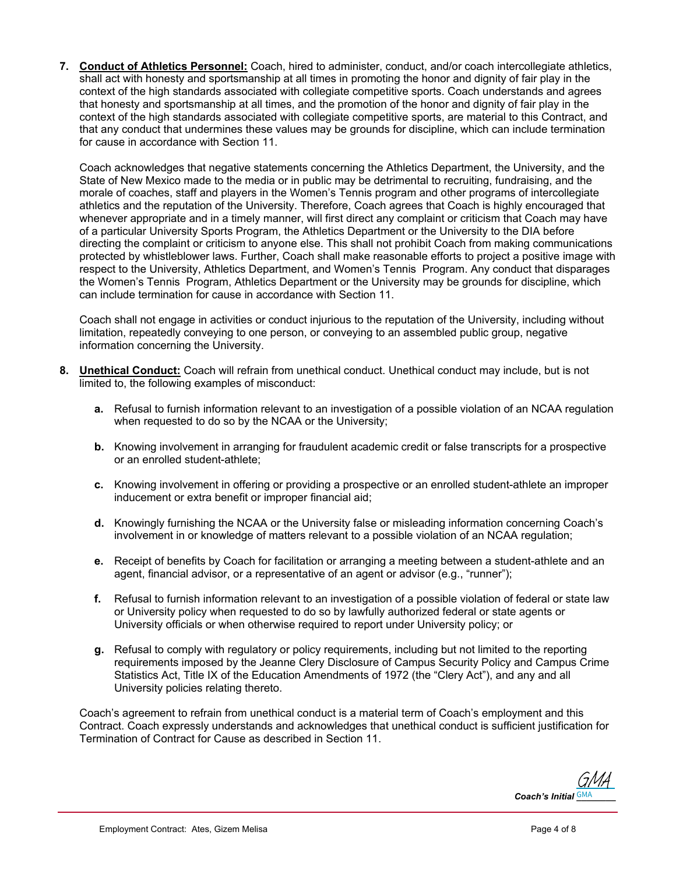**7. Conduct of Athletics Personnel:** Coach, hired to administer, conduct, and/or coach intercollegiate athletics, shall act with honesty and sportsmanship at all times in promoting the honor and dignity of fair play in the context of the high standards associated with collegiate competitive sports. Coach understands and agrees that honesty and sportsmanship at all times, and the promotion of the honor and dignity of fair play in the context of the high standards associated with collegiate competitive sports, are material to this Contract, and that any conduct that undermines these values may be grounds for discipline, which can include termination for cause in accordance with Section 11.

Coach acknowledges that negative statements concerning the Athletics Department, the University, and the State of New Mexico made to the media or in public may be detrimental to recruiting, fundraising, and the morale of coaches, staff and players in the Women's Tennis program and other programs of intercollegiate athletics and the reputation of the University. Therefore, Coach agrees that Coach is highly encouraged that whenever appropriate and in a timely manner, will first direct any complaint or criticism that Coach may have of a particular University Sports Program, the Athletics Department or the University to the DIA before directing the complaint or criticism to anyone else. This shall not prohibit Coach from making communications protected by whistleblower laws. Further, Coach shall make reasonable efforts to project a positive image with respect to the University, Athletics Department, and Women's Tennis Program. Any conduct that disparages the Women's Tennis Program, Athletics Department or the University may be grounds for discipline, which can include termination for cause in accordance with Section 11.

Coach shall not engage in activities or conduct injurious to the reputation of the University, including without limitation, repeatedly conveying to one person, or conveying to an assembled public group, negative information concerning the University.

- **8. Unethical Conduct:** Coach will refrain from unethical conduct. Unethical conduct may include, but is not limited to, the following examples of misconduct:
	- **a.** Refusal to furnish information relevant to an investigation of a possible violation of an NCAA regulation when requested to do so by the NCAA or the University;
	- **b.** Knowing involvement in arranging for fraudulent academic credit or false transcripts for a prospective or an enrolled student-athlete;
	- **c.** Knowing involvement in offering or providing a prospective or an enrolled student-athlete an improper inducement or extra benefit or improper financial aid;
	- **d.** Knowingly furnishing the NCAA or the University false or misleading information concerning Coach's involvement in or knowledge of matters relevant to a possible violation of an NCAA regulation;
	- **e.** Receipt of benefits by Coach for facilitation or arranging a meeting between a student-athlete and an agent, financial advisor, or a representative of an agent or advisor (e.g., "runner");
	- **f.** Refusal to furnish information relevant to an investigation of a possible violation of federal or state law or University policy when requested to do so by lawfully authorized federal or state agents or University officials or when otherwise required to report under University policy; or
	- **g.** Refusal to comply with regulatory or policy requirements, including but not limited to the reporting requirements imposed by the Jeanne Clery Disclosure of Campus Security Policy and Campus Crime Statistics Act, Title IX of the Education Amendments of 1972 (the "Clery Act"), and any and all University policies relating thereto.

Coach's agreement to refrain from unethical conduct is a material term of Coach's employment and this Contract. Coach expressly understands and acknowledges that unethical conduct is sufficient justification for Termination of Contract for Cause as described in Section 11.

Coach's Initial **GMA** [GMA](https://secure.na2.echosign.com/verifier?tx=CBJCHBCAABAAudPFRS5iXnToYKQ3N9ku7fVdCMKk9i62)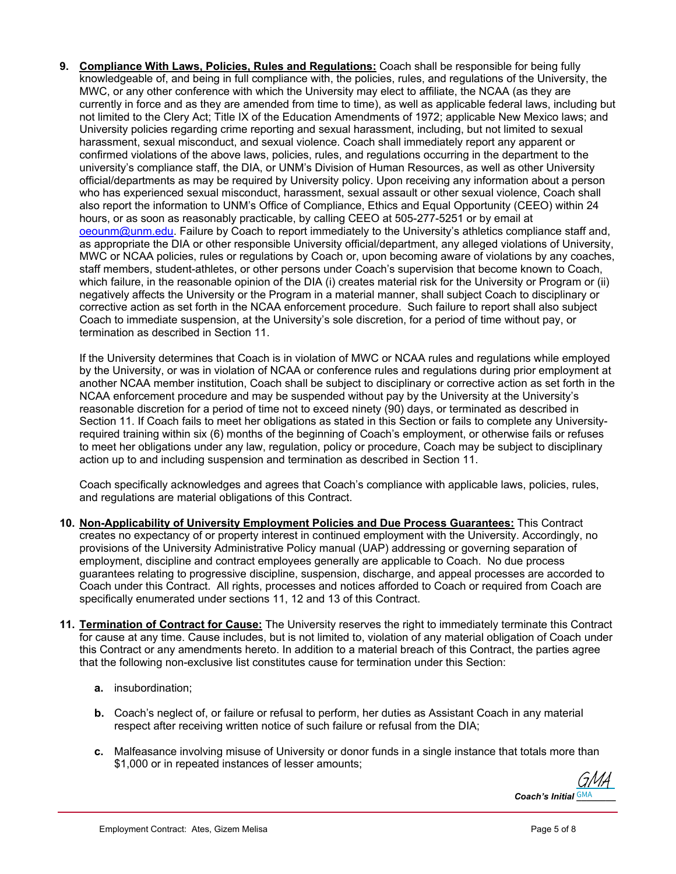**9. Compliance With Laws, Policies, Rules and Regulations:** Coach shall be responsible for being fully knowledgeable of, and being in full compliance with, the policies, rules, and regulations of the University, the MWC, or any other conference with which the University may elect to affiliate, the NCAA (as they are currently in force and as they are amended from time to time), as well as applicable federal laws, including but not limited to the Clery Act; Title IX of the Education Amendments of 1972; applicable New Mexico laws; and University policies regarding crime reporting and sexual harassment, including, but not limited to sexual harassment, sexual misconduct, and sexual violence. Coach shall immediately report any apparent or confirmed violations of the above laws, policies, rules, and regulations occurring in the department to the university's compliance staff, the DIA, or UNM's Division of Human Resources, as well as other University official/departments as may be required by University policy. Upon receiving any information about a person who has experienced sexual misconduct, harassment, sexual assault or other sexual violence, Coach shall also report the information to UNM's Office of Compliance, Ethics and Equal Opportunity (CEEO) within 24 hours, or as soon as reasonably practicable, by calling CEEO at 505-277-5251 or by email at oeounm@unm.edu. Failure by Coach to report immediately to the University's athletics compliance staff and, as appropriate the DIA or other responsible University official/department, any alleged violations of University, MWC or NCAA policies, rules or regulations by Coach or, upon becoming aware of violations by any coaches, staff members, student-athletes, or other persons under Coach's supervision that become known to Coach, which failure, in the reasonable opinion of the DIA (i) creates material risk for the University or Program or (ii) negatively affects the University or the Program in a material manner, shall subject Coach to disciplinary or corrective action as set forth in the NCAA enforcement procedure. Such failure to report shall also subject Coach to immediate suspension, at the University's sole discretion, for a period of time without pay, or termination as described in Section 11.

If the University determines that Coach is in violation of MWC or NCAA rules and regulations while employed by the University, or was in violation of NCAA or conference rules and regulations during prior employment at another NCAA member institution, Coach shall be subject to disciplinary or corrective action as set forth in the NCAA enforcement procedure and may be suspended without pay by the University at the University's reasonable discretion for a period of time not to exceed ninety (90) days, or terminated as described in Section 11. If Coach fails to meet her obligations as stated in this Section or fails to complete any Universityrequired training within six (6) months of the beginning of Coach's employment, or otherwise fails or refuses to meet her obligations under any law, regulation, policy or procedure, Coach may be subject to disciplinary action up to and including suspension and termination as described in Section 11.

Coach specifically acknowledges and agrees that Coach's compliance with applicable laws, policies, rules, and regulations are material obligations of this Contract.

- **10. Non-Applicability of University Employment Policies and Due Process Guarantees:** This Contract creates no expectancy of or property interest in continued employment with the University. Accordingly, no provisions of the University Administrative Policy manual (UAP) addressing or governing separation of employment, discipline and contract employees generally are applicable to Coach. No due process guarantees relating to progressive discipline, suspension, discharge, and appeal processes are accorded to Coach under this Contract. All rights, processes and notices afforded to Coach or required from Coach are specifically enumerated under sections 11, 12 and 13 of this Contract.
- **11. Termination of Contract for Cause:** The University reserves the right to immediately terminate this Contract for cause at any time. Cause includes, but is not limited to, violation of any material obligation of Coach under this Contract or any amendments hereto. In addition to a material breach of this Contract, the parties agree that the following non-exclusive list constitutes cause for termination under this Section:
	- **a.** insubordination;
	- **b.** Coach's neglect of, or failure or refusal to perform, her duties as Assistant Coach in any material respect after receiving written notice of such failure or refusal from the DIA;
	- **c.** Malfeasance involving misuse of University or donor funds in a single instance that totals more than \$1,000 or in repeated instances of lesser amounts;

Coach's Initial **GMA** [GMA](https://secure.na2.echosign.com/verifier?tx=CBJCHBCAABAAudPFRS5iXnToYKQ3N9ku7fVdCMKk9i62)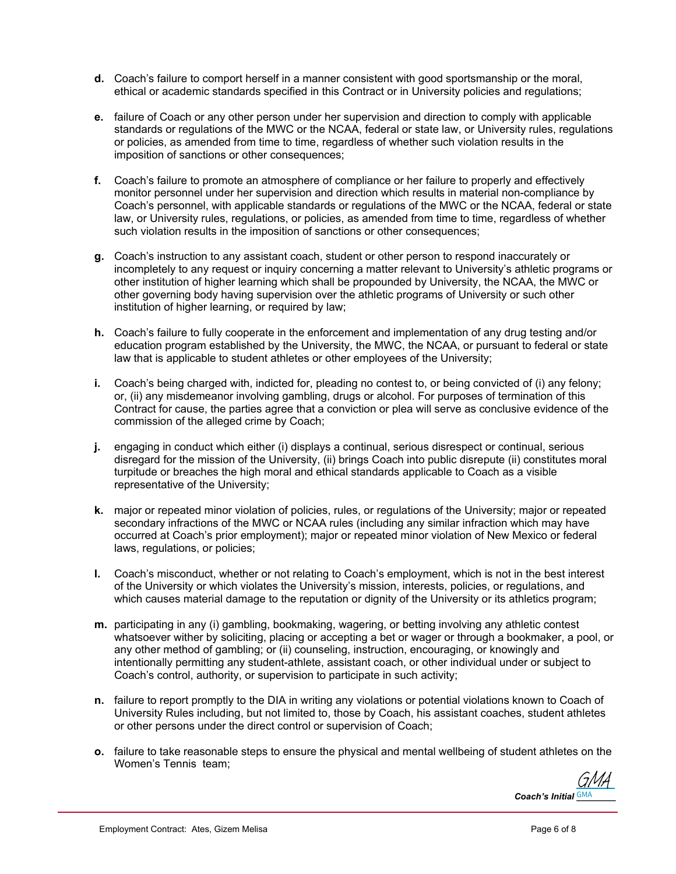- **d.** Coach's failure to comport herself in a manner consistent with good sportsmanship or the moral, ethical or academic standards specified in this Contract or in University policies and regulations;
- **e.** failure of Coach or any other person under her supervision and direction to comply with applicable standards or regulations of the MWC or the NCAA, federal or state law, or University rules, regulations or policies, as amended from time to time, regardless of whether such violation results in the imposition of sanctions or other consequences;
- **f.** Coach's failure to promote an atmosphere of compliance or her failure to properly and effectively monitor personnel under her supervision and direction which results in material non-compliance by Coach's personnel, with applicable standards or regulations of the MWC or the NCAA, federal or state law, or University rules, regulations, or policies, as amended from time to time, regardless of whether such violation results in the imposition of sanctions or other consequences;
- **g.** Coach's instruction to any assistant coach, student or other person to respond inaccurately or incompletely to any request or inquiry concerning a matter relevant to University's athletic programs or other institution of higher learning which shall be propounded by University, the NCAA, the MWC or other governing body having supervision over the athletic programs of University or such other institution of higher learning, or required by law;
- **h.** Coach's failure to fully cooperate in the enforcement and implementation of any drug testing and/or education program established by the University, the MWC, the NCAA, or pursuant to federal or state law that is applicable to student athletes or other employees of the University;
- **i.** Coach's being charged with, indicted for, pleading no contest to, or being convicted of (i) any felony; or, (ii) any misdemeanor involving gambling, drugs or alcohol. For purposes of termination of this Contract for cause, the parties agree that a conviction or plea will serve as conclusive evidence of the commission of the alleged crime by Coach;
- **j.** engaging in conduct which either (i) displays a continual, serious disrespect or continual, serious disregard for the mission of the University, (ii) brings Coach into public disrepute (ii) constitutes moral turpitude or breaches the high moral and ethical standards applicable to Coach as a visible representative of the University;
- **k.** major or repeated minor violation of policies, rules, or regulations of the University; major or repeated secondary infractions of the MWC or NCAA rules (including any similar infraction which may have occurred at Coach's prior employment); major or repeated minor violation of New Mexico or federal laws, regulations, or policies;
- **l.** Coach's misconduct, whether or not relating to Coach's employment, which is not in the best interest of the University or which violates the University's mission, interests, policies, or regulations, and which causes material damage to the reputation or dignity of the University or its athletics program;
- **m.** participating in any (i) gambling, bookmaking, wagering, or betting involving any athletic contest whatsoever wither by soliciting, placing or accepting a bet or wager or through a bookmaker, a pool, or any other method of gambling; or (ii) counseling, instruction, encouraging, or knowingly and intentionally permitting any student-athlete, assistant coach, or other individual under or subject to Coach's control, authority, or supervision to participate in such activity;
- **n.** failure to report promptly to the DIA in writing any violations or potential violations known to Coach of University Rules including, but not limited to, those by Coach, his assistant coaches, student athletes or other persons under the direct control or supervision of Coach;
- **o.** failure to take reasonable steps to ensure the physical and mental wellbeing of student athletes on the Women's Tennis team;

Coach's Initial **GMA** [GMA](https://secure.na2.echosign.com/verifier?tx=CBJCHBCAABAAudPFRS5iXnToYKQ3N9ku7fVdCMKk9i62)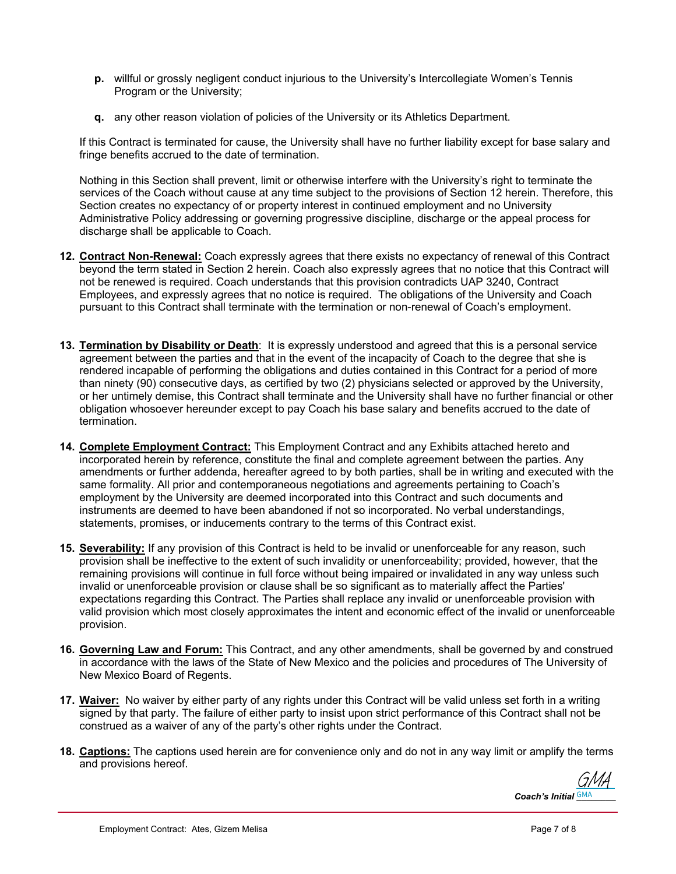- **p.** willful or grossly negligent conduct injurious to the University's Intercollegiate Women's Tennis Program or the University;
- **q.** any other reason violation of policies of the University or its Athletics Department.

If this Contract is terminated for cause, the University shall have no further liability except for base salary and fringe benefits accrued to the date of termination.

Nothing in this Section shall prevent, limit or otherwise interfere with the University's right to terminate the services of the Coach without cause at any time subject to the provisions of Section 12 herein. Therefore, this Section creates no expectancy of or property interest in continued employment and no University Administrative Policy addressing or governing progressive discipline, discharge or the appeal process for discharge shall be applicable to Coach.

- **12. Contract Non-Renewal:** Coach expressly agrees that there exists no expectancy of renewal of this Contract beyond the term stated in Section 2 herein. Coach also expressly agrees that no notice that this Contract will not be renewed is required. Coach understands that this provision contradicts UAP 3240, Contract Employees, and expressly agrees that no notice is required. The obligations of the University and Coach pursuant to this Contract shall terminate with the termination or non-renewal of Coach's employment.
- **13. Termination by Disability or Death**: It is expressly understood and agreed that this is a personal service agreement between the parties and that in the event of the incapacity of Coach to the degree that she is rendered incapable of performing the obligations and duties contained in this Contract for a period of more than ninety (90) consecutive days, as certified by two (2) physicians selected or approved by the University, or her untimely demise, this Contract shall terminate and the University shall have no further financial or other obligation whosoever hereunder except to pay Coach his base salary and benefits accrued to the date of termination.
- **14. Complete Employment Contract:** This Employment Contract and any Exhibits attached hereto and incorporated herein by reference, constitute the final and complete agreement between the parties. Any amendments or further addenda, hereafter agreed to by both parties, shall be in writing and executed with the same formality. All prior and contemporaneous negotiations and agreements pertaining to Coach's employment by the University are deemed incorporated into this Contract and such documents and instruments are deemed to have been abandoned if not so incorporated. No verbal understandings, statements, promises, or inducements contrary to the terms of this Contract exist.
- **15. Severability:** If any provision of this Contract is held to be invalid or unenforceable for any reason, such provision shall be ineffective to the extent of such invalidity or unenforceability; provided, however, that the remaining provisions will continue in full force without being impaired or invalidated in any way unless such invalid or unenforceable provision or clause shall be so significant as to materially affect the Parties' expectations regarding this Contract. The Parties shall replace any invalid or unenforceable provision with valid provision which most closely approximates the intent and economic effect of the invalid or unenforceable provision.
- **16. Governing Law and Forum:** This Contract, and any other amendments, shall be governed by and construed in accordance with the laws of the State of New Mexico and the policies and procedures of The University of New Mexico Board of Regents.
- **17. Waiver:** No waiver by either party of any rights under this Contract will be valid unless set forth in a writing signed by that party. The failure of either party to insist upon strict performance of this Contract shall not be construed as a waiver of any of the party's other rights under the Contract.
- **18. Captions:** The captions used herein are for convenience only and do not in any way limit or amplify the terms and provisions hereof.

Coach's Initial **GMA** [GMA](https://secure.na2.echosign.com/verifier?tx=CBJCHBCAABAAudPFRS5iXnToYKQ3N9ku7fVdCMKk9i62)